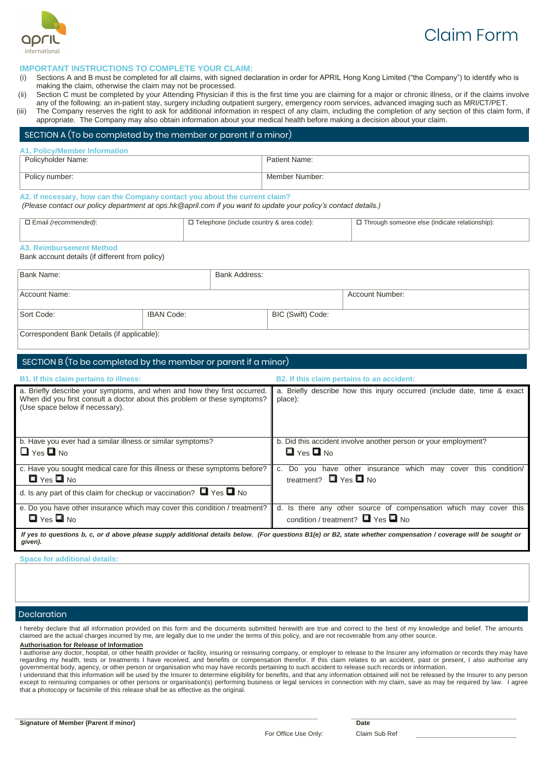$\Box$   $\qquad \Box$  $\Box$  $\Box$  $\Box$  $\Box$  $\Box$  $\begin{array}{ccc} \Box & \Box \end{array}$  $\Box$  $\Box$  $\Box$ 

 $\Box$